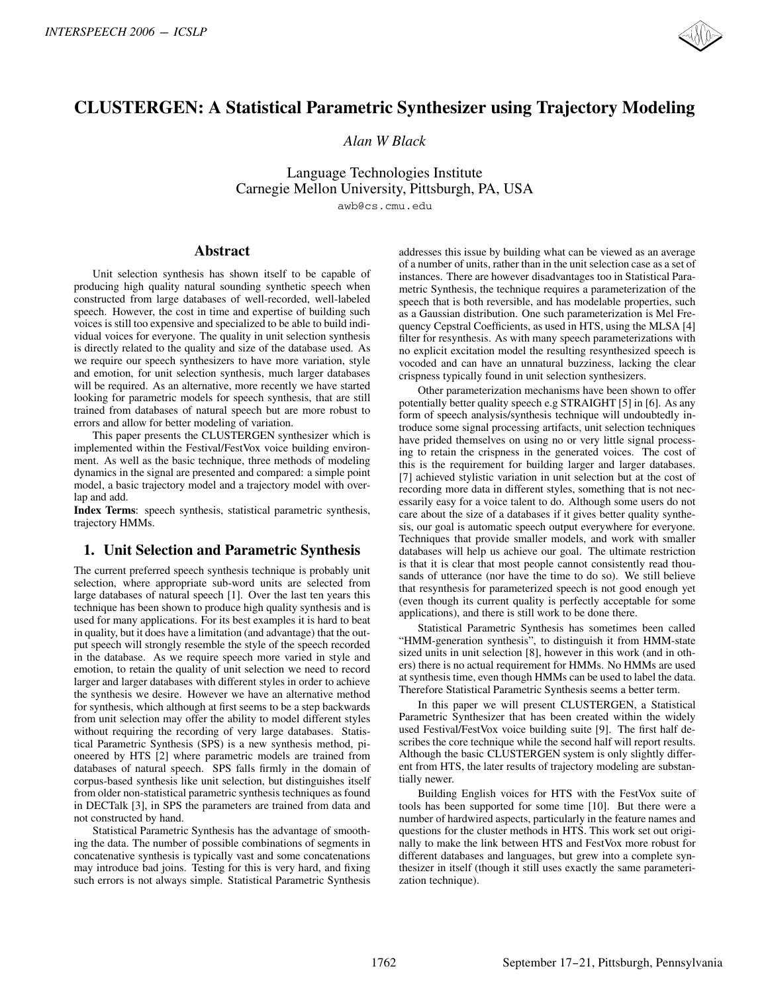# **CLUSTERGEN: A Statistical Parametric Synthesizer using Trajectory Modeling**

*Alan W Black*

Language Technologies Institute Carnegie Mellon University, Pittsburgh, PA, USA awb@cs.cmu.edu

## **Abstract**

Unit selection synthesis has shown itself to be capable of producing high quality natural sounding synthetic speech when constructed from large databases of well-recorded, well-labeled speech. However, the cost in time and expertise of building such voices is still too expensive and specialized to be able to build individual voices for everyone. The quality in unit selection synthesis is directly related to the quality and size of the database used. As we require our speech synthesizers to have more variation, style and emotion, for unit selection synthesis, much larger databases will be required. As an alternative, more recently we have started looking for parametric models for speech synthesis, that are still trained from databases of natural speech but are more robust to errors and allow for better modeling of variation.

This paper presents the CLUSTERGEN synthesizer which is implemented within the Festival/FestVox voice building environment. As well as the basic technique, three methods of modeling dynamics in the signal are presented and compared: a simple point model, a basic trajectory model and a trajectory model with overlap and add.

**Index Terms**: speech synthesis, statistical parametric synthesis, trajectory HMMs.

# **1. Unit Selection and Parametric Synthesis**

The current preferred speech synthesis technique is probably unit selection, where appropriate sub-word units are selected from large databases of natural speech [1]. Over the last ten years this technique has been shown to produce high quality synthesis and is used for many applications. For its best examples it is hard to beat in quality, but it does have a limitation (and advantage) that the output speech will strongly resemble the style of the speech recorded in the database. As we require speech more varied in style and emotion, to retain the quality of unit selection we need to record larger and larger databases with different styles in order to achieve the synthesis we desire. However we have an alternative method for synthesis, which although at first seems to be a step backwards from unit selection may offer the ability to model different styles without requiring the recording of very large databases. Statistical Parametric Synthesis (SPS) is a new synthesis method, pioneered by HTS [2] where parametric models are trained from databases of natural speech. SPS falls firmly in the domain of corpus-based synthesis like unit selection, but distinguishes itself from older non-statistical parametric synthesis techniques as found in DECTalk [3], in SPS the parameters are trained from data and not constructed by hand. **CLUSTERGEN: A Statistical Parametric Synthesizer using Trajectory Modeling**<br>
CLUSTERGEN: A Statistical Parametric Synthesizer using Trajectory Modeling<br>
Also ny *Home Compassion is a member of the compassion in the compa* 

Statistical Parametric Synthesis has the advantage of smoothing the data. The number of possible combinations of segments in concatenative synthesis is typically vast and some concatenations may introduce bad joins. Testing for this is very hard, and fixing such errors is not always simple. Statistical Parametric Synthesis

addresses this issue by building what can be viewed as an average of a number of units, rather than in the unit selection case as a set of instances. There are however disadvantages too in Statistical Parametric Synthesis, the technique requires a parameterization of the speech that is both reversible, and has modelable properties, such as a Gaussian distribution. One such parameterization is Mel Frequency Cepstral Coefficients, as used in HTS, using the MLSA [4] filter for resynthesis. As with many speech parameterizations with no explicit excitation model the resulting resynthesized speech is vocoded and can have an unnatural buzziness, lacking the clear crispness typically found in unit selection synthesizers.

Other parameterization mechanisms have been shown to offer potentially better quality speech e.g STRAIGHT [5] in [6]. As any form of speech analysis/synthesis technique will undoubtedly introduce some signal processing artifacts, unit selection techniques have prided themselves on using no or very little signal processing to retain the crispness in the generated voices. The cost of this is the requirement for building larger and larger databases. [7] achieved stylistic variation in unit selection but at the cost of recording more data in different styles, something that is not necessarily easy for a voice talent to do. Although some users do not care about the size of a databases if it gives better quality synthesis, our goal is automatic speech output everywhere for everyone. Techniques that provide smaller models, and work with smaller databases will help us achieve our goal. The ultimate restriction is that it is clear that most people cannot consistently read thousands of utterance (nor have the time to do so). We still believe that resynthesis for parameterized speech is not good enough yet (even though its current quality is perfectly acceptable for some applications), and there is still work to be done there.

Statistical Parametric Synthesis has sometimes been called "HMM-generation synthesis", to distinguish it from HMM-state sized units in unit selection [8], however in this work (and in others) there is no actual requirement for HMMs. No HMMs are used at synthesis time, even though HMMs can be used to label the data. Therefore Statistical Parametric Synthesis seems a better term.

In this paper we will present CLUSTERGEN, a Statistical Parametric Synthesizer that has been created within the widely used Festival/FestVox voice building suite [9]. The first half describes the core technique while the second half will report results. Although the basic CLUSTERGEN system is only slightly different from HTS, the later results of trajectory modeling are substantially newer.

Building English voices for HTS with the FestVox suite of tools has been supported for some time [10]. But there were a number of hardwired aspects, particularly in the feature names and questions for the cluster methods in HTS. This work set out originally to make the link between HTS and FestVox more robust for different databases and languages, but grew into a complete synthesizer in itself (though it still uses exactly the same parameterization technique).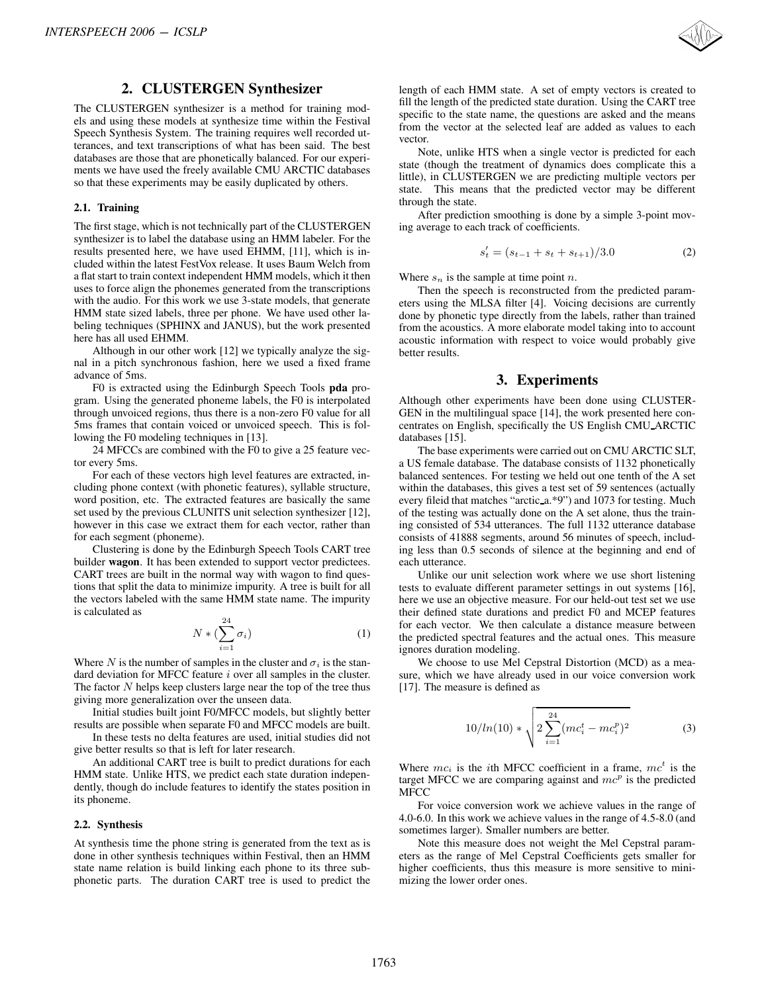# **2. CLUSTERGEN Synthesizer**

The CLUSTERGEN synthesizer is a method for training models and using these models at synthesize time within the Festival Speech Synthesis System. The training requires well recorded utterances, and text transcriptions of what has been said. The best databases are those that are phonetically balanced. For our experiments we have used the freely available CMU ARCTIC databases so that these experiments may be easily duplicated by others.

#### **2.1. Training**

The first stage, which is not technically part of the CLUSTERGEN synthesizer is to label the database using an HMM labeler. For the results presented here, we have used EHMM, [11], which is included within the latest FestVox release. It uses Baum Welch from a flat start to train context independent HMM models, which it then uses to force align the phonemes generated from the transcriptions with the audio. For this work we use 3-state models, that generate HMM state sized labels, three per phone. We have used other labeling techniques (SPHINX and JANUS), but the work presented here has all used EHMM. INTERSPEECH 2006 - ICSLP<br>
2. CLUSTERGEEN Synthesizer in a method for training models and using these models at a smoked for training in<br>the standard signal of the standard signal of the standard signal of<br>standard signal

Although in our other work [12] we typically analyze the signal in a pitch synchronous fashion, here we used a fixed frame advance of 5ms.

F0 is extracted using the Edinburgh Speech Tools **pda** program. Using the generated phoneme labels, the F0 is interpolated through unvoiced regions, thus there is a non-zero F0 value for all 5ms frames that contain voiced or unvoiced speech. This is following the F0 modeling techniques in [13].

24 MFCCs are combined with the F0 to give a 25 feature vector every 5ms.

For each of these vectors high level features are extracted, including phone context (with phonetic features), syllable structure, word position, etc. The extracted features are basically the same set used by the previous CLUNITS unit selection synthesizer [12], however in this case we extract them for each vector, rather than for each segment (phoneme).

Clustering is done by the Edinburgh Speech Tools CART tree builder **wagon**. It has been extended to support vector predictees. CART trees are built in the normal way with wagon to find questions that split the data to minimize impurity. A tree is built for all the vectors labeled with the same HMM state name. The impurity is calculated as

$$
N * (\sum_{i=1}^{24} \sigma_i)
$$
 (1)

Where N is the number of samples in the cluster and  $\sigma_i$  is the standard deviation for MFCC feature i over all samples in the cluster. The factor  $N$  helps keep clusters large near the top of the tree thus giving more generalization over the unseen data.

Initial studies built joint F0/MFCC models, but slightly better results are possible when separate F0 and MFCC models are built.

In these tests no delta features are used, initial studies did not give better results so that is left for later research.

An additional CART tree is built to predict durations for each HMM state. Unlike HTS, we predict each state duration independently, though do include features to identify the states position in its phoneme.

#### **2.2. Synthesis**

At synthesis time the phone string is generated from the text as is done in other synthesis techniques within Festival, then an HMM state name relation is build linking each phone to its three subphonetic parts. The duration CART tree is used to predict the



length of each HMM state. A set of empty vectors is created to fill the length of the predicted state duration. Using the CART tree specific to the state name, the questions are asked and the means from the vector at the selected leaf are added as values to each vector.

Note, unlike HTS when a single vector is predicted for each state (though the treatment of dynamics does complicate this a little), in CLUSTERGEN we are predicting multiple vectors per state. This means that the predicted vector may be different through the state.

After prediction smoothing is done by a simple 3-point moving average to each track of coefficients.

$$
s_t' = (s_{t-1} + s_t + s_{t+1})/3.0
$$
 (2)

Where  $s_n$  is the sample at time point n.

Then the speech is reconstructed from the predicted parameters using the MLSA filter [4]. Voicing decisions are currently done by phonetic type directly from the labels, rather than trained from the acoustics. A more elaborate model taking into to account acoustic information with respect to voice would probably give better results.

## **3. Experiments**

Although other experiments have been done using CLUSTER-GEN in the multilingual space [14], the work presented here concentrates on English, specifically the US English CMU ARCTIC databases [15].

The base experiments were carried out on CMU ARCTIC SLT, a US female database. The database consists of 1132 phonetically balanced sentences. For testing we held out one tenth of the A set within the databases, this gives a test set of 59 sentences (actually every fileid that matches "arctic a.\*9") and 1073 for testing. Much of the testing was actually done on the A set alone, thus the training consisted of 534 utterances. The full 1132 utterance database consists of 41888 segments, around 56 minutes of speech, including less than 0.5 seconds of silence at the beginning and end of each utterance.

Unlike our unit selection work where we use short listening tests to evaluate different parameter settings in out systems [16], here we use an objective measure. For our held-out test set we use their defined state durations and predict F0 and MCEP features for each vector. We then calculate a distance measure between the predicted spectral features and the actual ones. This measure ignores duration modeling.

We choose to use Mel Cepstral Distortion (MCD) as a measure, which we have already used in our voice conversion work [17]. The measure is defined as

$$
10/ln(10) * \sqrt{2 \sum_{i=1}^{24} (mc_i^t - mc_i^p)^2}
$$
 (3)

Where  $mc_i$  is the *i*th MFCC coefficient in a frame,  $mc^t$  is the target MFCC we are comparing against and  $mc^p$  is the predicted MFCC

For voice conversion work we achieve values in the range of 4.0-6.0. In this work we achieve values in the range of 4.5-8.0 (and sometimes larger). Smaller numbers are better.

Note this measure does not weight the Mel Cepstral parameters as the range of Mel Cepstral Coefficients gets smaller for higher coefficients, thus this measure is more sensitive to minimizing the lower order ones.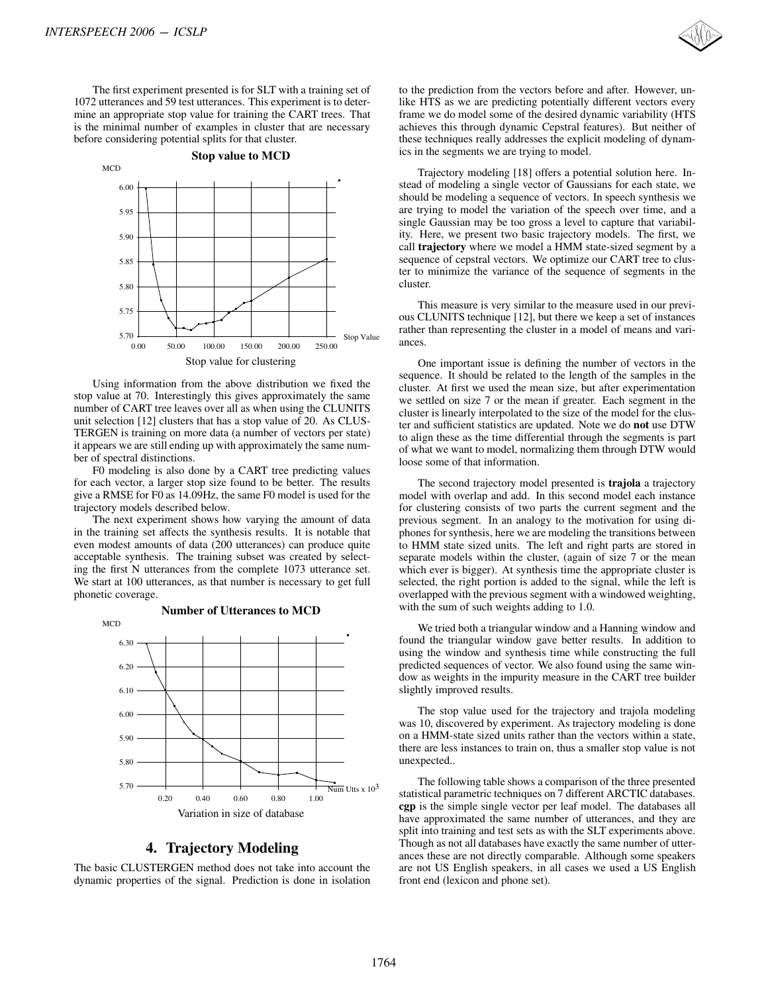The first experiment presented is for SLT with a training set of 1072 utterances and 59 test utterances. This experiment is to determine an appropriate stop value for training the CART trees. That is the minimal number of examples in cluster that are necessary before considering potential splits for that cluster.



Using information from the above distribution we fixed the stop value at 70. Interestingly this gives approximately the same number of CART tree leaves over all as when using the CLUNITS unit selection [12] clusters that has a stop value of 20. As CLUS-TERGEN is training on more data (a number of vectors per state) it appears we are still ending up with approximately the same number of spectral distinctions.

F0 modeling is also done by a CART tree predicting values for each vector, a larger stop size found to be better. The results give a RMSE for F0 as 14.09Hz, the same F0 model is used for the trajectory models described below.

The next experiment shows how varying the amount of data in the training set affects the synthesis results. It is notable that even modest amounts of data (200 utterances) can produce quite acceptable synthesis. The training subset was created by selecting the first N utterances from the complete 1073 utterance set. We start at 100 utterances, as that number is necessary to get full phonetic coverage.



# **4. Trajectory Modeling**

The basic CLUSTERGEN method does not take into account the dynamic properties of the signal. Prediction is done in isolation to the prediction from the vectors before and after. However, unlike HTS as we are predicting potentially different vectors every frame we do model some of the desired dynamic variability (HTS achieves this through dynamic Cepstral features). But neither of these techniques really addresses the explicit modeling of dynamics in the segments we are trying to model.

Trajectory modeling [18] offers a potential solution here. Instead of modeling a single vector of Gaussians for each state, we should be modeling a sequence of vectors. In speech synthesis we are trying to model the variation of the speech over time, and a single Gaussian may be too gross a level to capture that variability. Here, we present two basic trajectory models. The first, we call **trajectory** where we model a HMM state-sized segment by a sequence of cepstral vectors. We optimize our CART tree to cluster to minimize the variance of the sequence of segments in the cluster.

This measure is very similar to the measure used in our previous CLUNITS technique [12], but there we keep a set of instances rather than representing the cluster in a model of means and variances.

One important issue is defining the number of vectors in the sequence. It should be related to the length of the samples in the cluster. At first we used the mean size, but after experimentation we settled on size 7 or the mean if greater. Each segment in the cluster is linearly interpolated to the size of the model for the cluster and sufficient statistics are updated. Note we do **not** use DTW to align these as the time differential through the segments is part of what we want to model, normalizing them through DTW would loose some of that information.

The second trajectory model presented is **trajola** a trajectory model with overlap and add. In this second model each instance for clustering consists of two parts the current segment and the previous segment. In an analogy to the motivation for using diphones for synthesis, here we are modeling the transitions between to HMM state sized units. The left and right parts are stored in separate models within the cluster, (again of size 7 or the mean which ever is bigger). At synthesis time the appropriate cluster is selected, the right portion is added to the signal, while the left is overlapped with the previous segment with a windowed weighting, with the sum of such weights adding to 1.0.

We tried both a triangular window and a Hanning window and found the triangular window gave better results. In addition to using the window and synthesis time while constructing the full predicted sequences of vector. We also found using the same window as weights in the impurity measure in the CART tree builder slightly improved results.

The stop value used for the trajectory and trajola modeling was 10, discovered by experiment. As trajectory modeling is done on a HMM-state sized units rather than the vectors within a state, there are less instances to train on, thus a smaller stop value is not unexpected..

The following table shows a comparison of the three presented statistical parametric techniques on 7 different ARCTIC databases. **cgp** is the simple single vector per leaf model. The databases all have approximated the same number of utterances, and they are split into training and test sets as with the SLT experiments above. Though as not all databases have exactly the same number of utterances these are not directly comparable. Although some speakers are not US English speakers, in all cases we used a US English front end (lexicon and phone set).